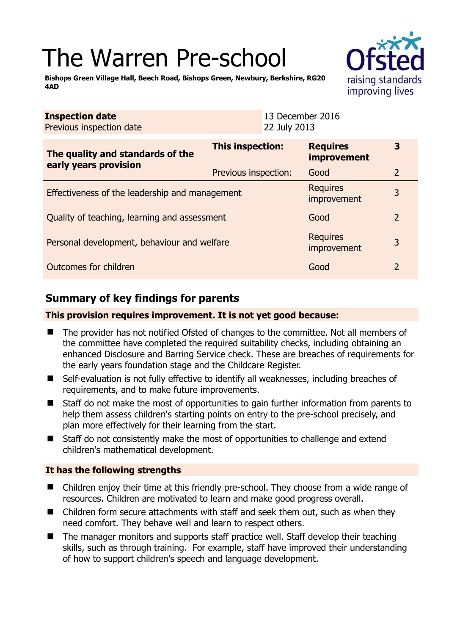# The Warren Pre-school

raising standards improving lives

**Bishops Green Village Hall, Beech Road, Bishops Green, Newbury, Berkshire, RG20 4AD** 

| <b>Inspection date</b><br>Previous inspection date<br>22 July 2013 |                      | 13 December 2016                      |                |
|--------------------------------------------------------------------|----------------------|---------------------------------------|----------------|
| The quality and standards of the<br>early years provision          | This inspection:     | <b>Requires</b><br><b>improvement</b> | 3              |
|                                                                    | Previous inspection: | Good                                  | $\overline{2}$ |
| Effectiveness of the leadership and management                     |                      | <b>Requires</b><br>improvement        | 3              |
| Quality of teaching, learning and assessment                       |                      | Good                                  | $\overline{2}$ |
| Personal development, behaviour and welfare                        |                      | <b>Requires</b><br>improvement        | 3              |
| Outcomes for children                                              |                      | Good                                  | $\overline{2}$ |

# **Summary of key findings for parents**

#### **This provision requires improvement. It is not yet good because:**

- The provider has not notified Ofsted of changes to the committee. Not all members of the committee have completed the required suitability checks, including obtaining an enhanced Disclosure and Barring Service check. These are breaches of requirements for the early years foundation stage and the Childcare Register.
- Self-evaluation is not fully effective to identify all weaknesses, including breaches of requirements, and to make future improvements.
- Staff do not make the most of opportunities to gain further information from parents to help them assess children's starting points on entry to the pre-school precisely, and plan more effectively for their learning from the start.
- Staff do not consistently make the most of opportunities to challenge and extend children's mathematical development.

#### **It has the following strengths**

- Children enjoy their time at this friendly pre-school. They choose from a wide range of resources. Children are motivated to learn and make good progress overall.
- Children form secure attachments with staff and seek them out, such as when they need comfort. They behave well and learn to respect others.
- The manager monitors and supports staff practice well. Staff develop their teaching skills, such as through training. For example, staff have improved their understanding of how to support children's speech and language development.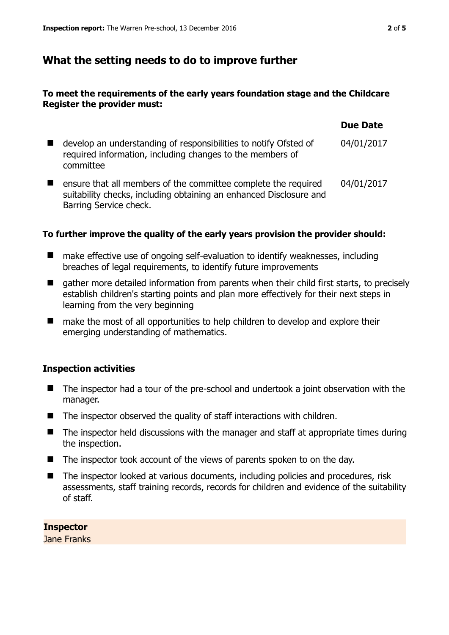### **What the setting needs to do to improve further**

#### **To meet the requirements of the early years foundation stage and the Childcare Register the provider must:**

|                                                                                                                                                                | <b>Due Date</b> |
|----------------------------------------------------------------------------------------------------------------------------------------------------------------|-----------------|
| develop an understanding of responsibilities to notify Ofsted of<br>required information, including changes to the members of<br>committee                     | 04/01/2017      |
| ensure that all members of the committee complete the required<br>suitability checks, including obtaining an enhanced Disclosure and<br>Barring Service check. | 04/01/2017      |

#### **To further improve the quality of the early years provision the provider should:**

- make effective use of ongoing self-evaluation to identify weaknesses, including breaches of legal requirements, to identify future improvements
- $\blacksquare$  gather more detailed information from parents when their child first starts, to precisely establish children's starting points and plan more effectively for their next steps in learning from the very beginning
- make the most of all opportunities to help children to develop and explore their emerging understanding of mathematics.

#### **Inspection activities**

- The inspector had a tour of the pre-school and undertook a joint observation with the manager.
- $\blacksquare$  The inspector observed the quality of staff interactions with children.
- $\blacksquare$  The inspector held discussions with the manager and staff at appropriate times during the inspection.
- $\blacksquare$  The inspector took account of the views of parents spoken to on the day.
- The inspector looked at various documents, including policies and procedures, risk assessments, staff training records, records for children and evidence of the suitability of staff.

**Inspector**  Jane Franks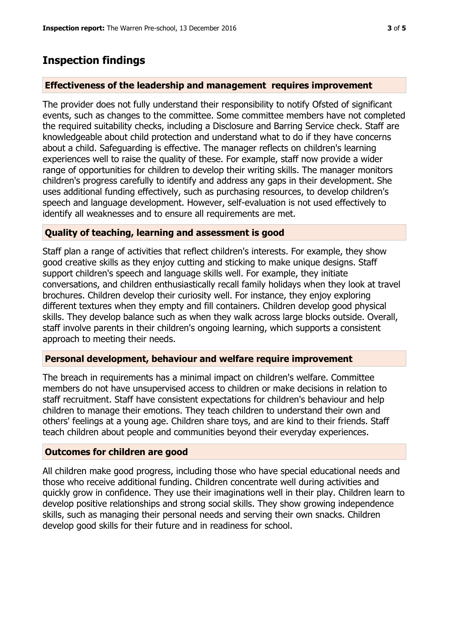## **Inspection findings**

#### **Effectiveness of the leadership and management requires improvement**

The provider does not fully understand their responsibility to notify Ofsted of significant events, such as changes to the committee. Some committee members have not completed the required suitability checks, including a Disclosure and Barring Service check. Staff are knowledgeable about child protection and understand what to do if they have concerns about a child. Safeguarding is effective. The manager reflects on children's learning experiences well to raise the quality of these. For example, staff now provide a wider range of opportunities for children to develop their writing skills. The manager monitors children's progress carefully to identify and address any gaps in their development. She uses additional funding effectively, such as purchasing resources, to develop children's speech and language development. However, self-evaluation is not used effectively to identify all weaknesses and to ensure all requirements are met.

#### **Quality of teaching, learning and assessment is good**

Staff plan a range of activities that reflect children's interests. For example, they show good creative skills as they enjoy cutting and sticking to make unique designs. Staff support children's speech and language skills well. For example, they initiate conversations, and children enthusiastically recall family holidays when they look at travel brochures. Children develop their curiosity well. For instance, they enjoy exploring different textures when they empty and fill containers. Children develop good physical skills. They develop balance such as when they walk across large blocks outside. Overall, staff involve parents in their children's ongoing learning, which supports a consistent approach to meeting their needs.

#### **Personal development, behaviour and welfare require improvement**

The breach in requirements has a minimal impact on children's welfare. Committee members do not have unsupervised access to children or make decisions in relation to staff recruitment. Staff have consistent expectations for children's behaviour and help children to manage their emotions. They teach children to understand their own and others' feelings at a young age. Children share toys, and are kind to their friends. Staff teach children about people and communities beyond their everyday experiences.

#### **Outcomes for children are good**

All children make good progress, including those who have special educational needs and those who receive additional funding. Children concentrate well during activities and quickly grow in confidence. They use their imaginations well in their play. Children learn to develop positive relationships and strong social skills. They show growing independence skills, such as managing their personal needs and serving their own snacks. Children develop good skills for their future and in readiness for school.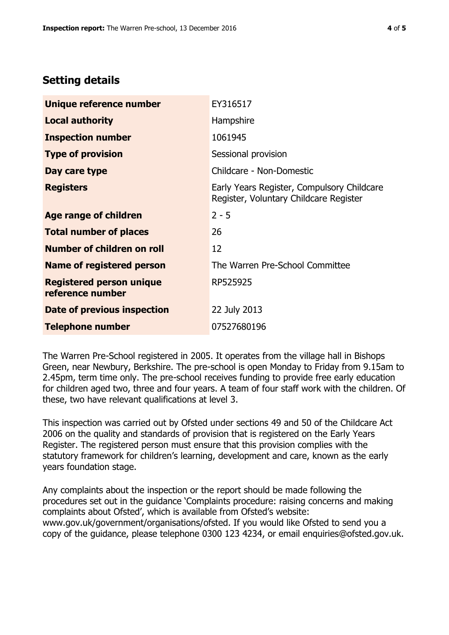## **Setting details**

| Unique reference number                             | EY316517                                                                             |
|-----------------------------------------------------|--------------------------------------------------------------------------------------|
| <b>Local authority</b>                              | Hampshire                                                                            |
| <b>Inspection number</b>                            | 1061945                                                                              |
| <b>Type of provision</b>                            | Sessional provision                                                                  |
| Day care type                                       | Childcare - Non-Domestic                                                             |
| <b>Registers</b>                                    | Early Years Register, Compulsory Childcare<br>Register, Voluntary Childcare Register |
| Age range of children                               | $2 - 5$                                                                              |
| <b>Total number of places</b>                       | 26                                                                                   |
| Number of children on roll                          | 12                                                                                   |
| Name of registered person                           | The Warren Pre-School Committee                                                      |
| <b>Registered person unique</b><br>reference number | RP525925                                                                             |
| Date of previous inspection                         | 22 July 2013                                                                         |
| Telephone number                                    | 07527680196                                                                          |

The Warren Pre-School registered in 2005. It operates from the village hall in Bishops Green, near Newbury, Berkshire. The pre-school is open Monday to Friday from 9.15am to 2.45pm, term time only. The pre-school receives funding to provide free early education for children aged two, three and four years. A team of four staff work with the children. Of these, two have relevant qualifications at level 3.

This inspection was carried out by Ofsted under sections 49 and 50 of the Childcare Act 2006 on the quality and standards of provision that is registered on the Early Years Register. The registered person must ensure that this provision complies with the statutory framework for children's learning, development and care, known as the early years foundation stage.

Any complaints about the inspection or the report should be made following the procedures set out in the guidance 'Complaints procedure: raising concerns and making complaints about Ofsted', which is available from Ofsted's website: www.gov.uk/government/organisations/ofsted. If you would like Ofsted to send you a copy of the guidance, please telephone 0300 123 4234, or email enquiries@ofsted.gov.uk.